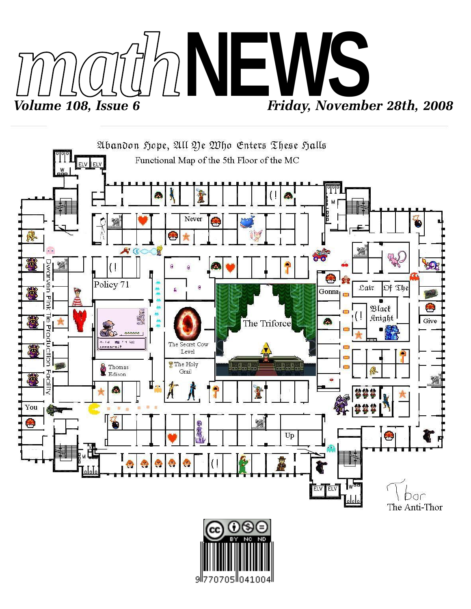



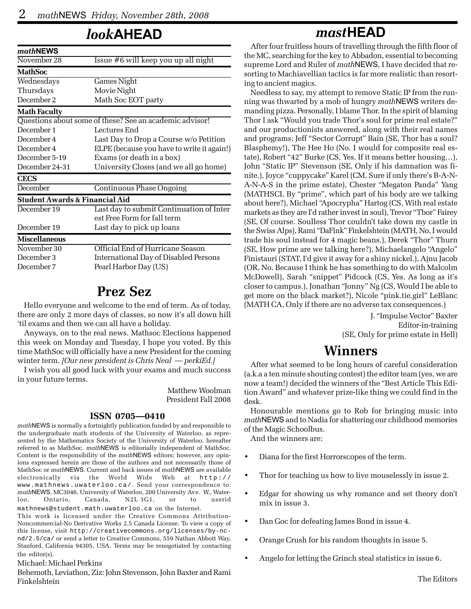## *look***AHEAD**

| mathNEWS                                  |                                                         |  |  |  |
|-------------------------------------------|---------------------------------------------------------|--|--|--|
| November 28                               | Issue $#6$ will keep you up all night                   |  |  |  |
| <b>MathSoc</b>                            |                                                         |  |  |  |
| Wednesdays                                | <b>Games Night</b>                                      |  |  |  |
| Thursdays                                 | Movie Night                                             |  |  |  |
| December 2                                | Math Soc EOT party                                      |  |  |  |
| <b>Math Faculty</b>                       |                                                         |  |  |  |
|                                           | Questions about some of these? See an academic advisor! |  |  |  |
| December 1                                | Lectures End                                            |  |  |  |
| December 4                                | Last Day to Drop a Course w/o Petition                  |  |  |  |
| December 4                                | ELPE (because you have to write it again!)              |  |  |  |
| December 5-19                             | Exams (or death in a box)                               |  |  |  |
| December 24-31                            | University Closes (and we all go home)                  |  |  |  |
| <b>CECS</b>                               |                                                         |  |  |  |
| December                                  | <b>Continuous Phase Ongoing</b>                         |  |  |  |
| <b>Student Awards &amp; Financial Aid</b> |                                                         |  |  |  |
| December 19                               | Last day to submit Continuation of Inter                |  |  |  |
|                                           | est Free Form for fall term                             |  |  |  |
| December 19                               | Last day to pick up loans                               |  |  |  |
| <b>Miscellaneous</b>                      |                                                         |  |  |  |
| November 30                               | Official End of Hurricane Season                        |  |  |  |
| December 3                                | International Day of Disabled Persons                   |  |  |  |
| December 7                                | Pearl Harbor Day (US)                                   |  |  |  |

### **Prez Sez**

Hello everyone and welcome to the end of term. As of today, there are only 2 more days of classes, so now it's all down hill 'til exams and then we can all have a holiday.

Anyways, on to the real news. Mathsoc Elections happened this week on Monday and Tuesday, I hope you voted. By this time MathSoc will officially have a new President for the coming winter term. *[Our new president is Chris Neal — perkiEd.]*

I wish you all good luck with your exams and much success in your future terms.

> Matthew Woolman President Fall 2008

#### **ISSN 0705—0410**

*math*NEWS is normally a fortnightly publication funded by and responsible to the undergraduate math students of the University of Waterloo, as represented by the Mathematics Society of the University of Waterloo, hereafter referred to as MathSoc. *math*NEWS is editorially independent of MathSoc. Content is the responsibility of the *math*NEWS editors; however, any opinions expressed herein are those of the authors and not necessarily those of MathSoc or *math*NEWS. Current and back issues of *math*NEWS are available electronically via the World Wide Web at http:// www.mathnews.uwaterloo.ca/. Send your correspondence to: *math*NEWS, MC3046, University of Waterloo, 200 University Ave. W., Waterloo, Ontario, Canada, N2L 3G1, or to userid mathnews@student.math.uwaterloo.ca on the Internet.

This work is licensed under the Creative Commons Attribution-Noncommercial-No Derivative Works 2.5 Canada License. To view a copy of this license, visit http://creativecommons.org/licenses/by-ncnd/2.5/ca/ or send a letter to Creative Commons, 559 Nathan Abbott Way, Stanford, California 94305, USA. Terms may be renegotiated by contacting the editor(s).

Michael: Michael Perkins

Behemoth, Leviathon, Ziz: John Stevenson, John Baxter and Rami Finkelshtein

## *mast***HEAD**

After four fruitless hours of travelling through the fifth floor of the MC, searching for the key to Abbadon, essential to becoming supreme Lord and Ruler of *math*NEWS, I have decided that resorting to Machiavellian tactics is far more realistic than resorting to ancient magics.

Needless to say, my attempt to remove Static IP from the running was thwarted by a mob of hungry *math*NEWS writers demanding pizza. Personally, I blame Thor. In the spirit of blaming Thor I ask "Would you trade Thor's soul for prime real estate?" and our productionists answered, along with their real names and programs: Jeff "Sector Corrupt" Bain (SE, Thor has a soul? Blasphemy!), The Hee Ho (No. I would for composite real estate), Robert "42" Burke (CS, Yes. If it means better housing…), John "Static IP" Stevenson (SE, Only if his damnation was finite.), Joyce "cuppycake" Karel (CM, Sure if only there's B-A-N-A-N-A-S in the prime estate), Chester "Megaton Panda" Yang (MATHSCI, By "prime", which part of his body are we talking about here?), Michael "Apocrypha" Hartog (CS, With real estate markets as they are I'd rather invest in soul), Trevor "Tbor" Fairey (SE, Of course. Soulless Thor couldn't take down my castle in the Swiss Alps), Rami "DaFink" Finkelshtein (MATH, No, I would trade his soul instead for 4 magic beans.), Derek "Thor" Thurn (SE, How prime are we talking here?), Michaelangelo "Angelo" Finistauri (STAT, I'd give it away for a shiny nickel.), Ajnu Jacob (OR, No. Because I think he has something to do with Malcolm McDowell), Sarah "snippet" Pidcock (CS, Yes. As long as it's closer to campus.), Jonathan "Jonny" Ng (CS, Would I be able to get more on the black market?), Nicole "pink.tie.girl" LeBlanc (MATH CA, Only if there are no adverse tax consequences.)

J. "Impulse Vector" Baxter Editor-in-training (SE, Only for prime estate in Hell)

### **Winners**

After what seemed to be long hours of careful consideration (a.k.a a ten minute shouting contest) the editor team (yes, we are now a team!) decided the winners of the "Best Article This Edition Award" and whatever prize-like thing we could find in the desk.

Honourable mentions go to Rob for bringing music into *math*NEWS and to Nadia for shattering our childhood memories of the Magic Schoolbus.

And the winners are:

- Diana for the first Horrorscopes of the term.
- Thor for teaching us how to live mouselessly in issue 2.
- Edgar for showing us why romance and set theory don't mix in issue 3.
- Dan Goc for defeating James Bond in issue 4.
- Orange Crush for his random thoughts in issue 5.
- Angelo for letting the Grinch steal statistics in issue 6.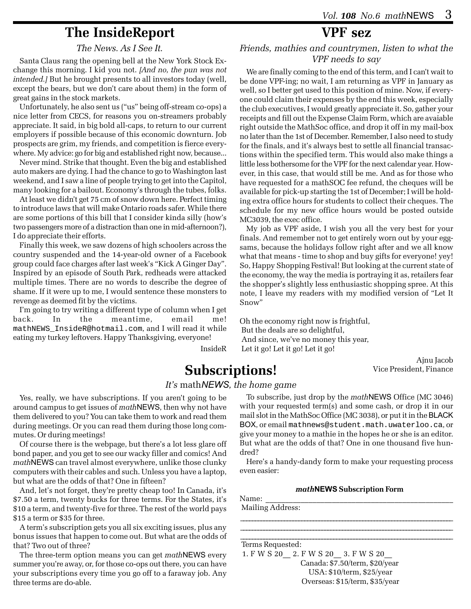## **The InsideReport**

#### *The News. As I See It.*

Santa Claus rang the opening bell at the New York Stock Exchange this morning. I kid you not. *[And no, the pun was not intended.]* But he brought presents to all investors today (well, except the bears, but we don't care about them) in the form of great gains in the stock markets.

Unfortunately, he also sent us ("us" being off-stream co-ops) a nice letter from CECS, for reasons you on-streamers probably appreciate. It said, in big bold all-caps, to return to our current employers if possible because of this economic downturn. Job prospects are grim, my friends, and competition is fierce everywhere. My advice: go for big and established right now, because...

Never mind. Strike that thought. Even the big and established auto makers are dying. I had the chance to go to Washington last weekend, and I saw a line of people trying to get into the Capitol, many looking for a bailout. Economy's through the tubes, folks.

At least we didn't get 75 cm of snow down here. Perfect timing to introduce laws that will make Ontario roads safer. While there are some portions of this bill that I consider kinda silly (how's two passengers more of a distraction than one in mid-afternoon?), I do appreciate their efforts.

Finally this week, we saw dozens of high schoolers across the country suspended and the 14-year-old owner of a Facebook group could face charges after last week's "Kick A Ginger Day". Inspired by an episode of South Park, redheads were attacked multiple times. There are no words to describe the degree of shame. If it were up to me, I would sentence these monsters to revenge as deemed fit by the victims.

I'm going to try writing a different type of column when I get back. In the meantime, email me! mathNEWS\_InsideR@hotmail.com, and I will read it while eating my turkey leftovers. Happy Thanksgiving, everyone!

InsideR

## **VPF sez**

#### *Friends, mathies and countrymen, listen to what the VPF needs to say*

We are finally coming to the end of this term, and I can't wait to be done VPF-ing; no wait, I am returning as VPF in January as well, so I better get used to this position of mine. Now, if everyone could claim their expenses by the end this week, especially the club executives, I would greatly appreciate it. So, gather your receipts and fill out the Expense Claim Form, which are avaiable right outside the MathSoc office, and drop it off in my mail-box no later than the 1st of December. Remember, I also need to study for the finals, and it's always best to settle all financial transactions within the specified term. This would also make things a little less bothersome for the VPF for the next calendar year. However, in this case, that would still be me. And as for those who have requested for a mathSOC fee refund, the cheques will be available for pick-up starting the 1st of December; I will be holding extra office hours for students to collect their cheques. The schedule for my new office hours would be posted outside MC3039, the exec office.

My job as VPF aside, I wish you all the very best for your finals. And remember not to get entirely worn out by your eggsams, because the holidays follow right after and we all know what that means - time to shop and buy gifts for everyone! yey! So, Happy Shopping Festival! But looking at the current state of the economy, the way the media is portraying it as, retailers fear the shopper's slightly less enthusiastic shopping spree. At this note, I leave my readers with my modified version of "Let It Snow"

Oh the economy right now is frightful, But the deals are so delightful, And since, we've no money this year, Let it go! Let it go! Let it go!

> Ajnu Jacob Vice President, Finance

# **Subscriptions!**

#### *It's* math*NEWS, the home game*

Yes, really, we have subscriptions. If you aren't going to be around campus to get issues of *math*NEWS, then why not have them delivered to you? You can take them to work and read them during meetings. Or you can read them during those long commutes. Or during meetings!

Of course there is the webpage, but there's a lot less glare off bond paper, and you get to see our wacky filler and comics! And *math*NEWS can travel almost everywhere, unlike those clunky computers with their cables and such. Unless you have a laptop, but what are the odds of that? One in fifteen?

And, let's not forget, they're pretty cheap too! In Canada, it's \$7.50 a term, twenty bucks for three terms. For the States, it's \$10 a term, and twenty-five for three. The rest of the world pays \$15 a term or \$35 for three.

A term's subscription gets you all six exciting issues, plus any bonus issues that happen to come out. But what are the odds of that? Two out of three?

The three-term option means you can get *math*NEWS every summer you're away, or, for those co-ops out there, you can have your subscriptions every time you go off to a faraway job. Any three terms are do-able.

To subscribe, just drop by the *math*NEWS Office (MC 3046) with your requested term(s) and some cash, or drop it in our mail slot in the MathSoc Office (MC 3038), or put it in the BLACK BOX, or email mathnews@student.math.uwaterloo.ca, or give your money to a mathie in the hopes he or she is an editor. But what are the odds of that? One in one thousand five hundred?

Here's a handy-dandy form to make your requesting process even easier:

#### *math***NEWS Subscription Form**

| Name:            |  |  |
|------------------|--|--|
| Mailing Address: |  |  |
|                  |  |  |

Terms Requested:

 1. F W S 20\_\_ 2. F W S 20\_\_ 3. F W S 20\_\_ Canada: \$7.50/term, \$20/year USA: \$10/term, \$25/year Overseas: \$15/term, \$35/year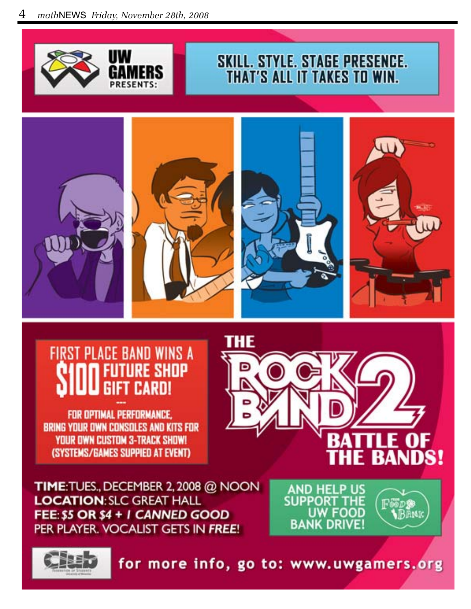![](_page_3_Picture_1.jpeg)

# **SKILL. STYLE. STAGE PRESENCE.** THAT'S ALL IT TAKES TO WIN.

![](_page_3_Picture_3.jpeg)

### **FIRST PLACE BAND WINS A URE SHOP GIFT CARD!**

FOR OPTIMAL PERFORMANCE. **BRING YOUR OWN CONSOLES AND KITS FOR YOUR OWN CUSTOM 3-TRACK SHOW!** (SYSTEMS/GAMES SUPPIED AT EVENT)

![](_page_3_Picture_6.jpeg)

TIME: TUES., DECEMBER 2, 2008 @ NOON **LOCATION: SLC GREAT HALL** FEE: \$5 OR \$4 + I CANNED GOOD PER PLAYER. VOCALIST GETS IN FREE!

**AND HELP US** SUPPORT THE **UW FOOD BANK DRIVE!** 

边露

**BAM** 

![](_page_3_Picture_9.jpeg)

for more info, go to: www.uwgamers.org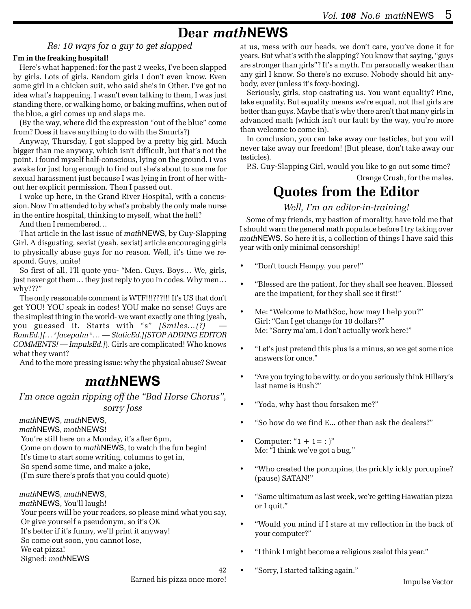### **Dear** *math***NEWS**

### *Re: 10 ways for a guy to get slapped*

#### **I'm in the freaking hospital!**

Here's what happened: for the past 2 weeks, I've been slapped by girls. Lots of girls. Random girls I don't even know. Even some girl in a chicken suit, who said she's in Other. I've got no idea what's happening. I wasn't even talking to them, I was just standing there, or walking home, or baking muffins, when out of the blue, a girl comes up and slaps me.

(By the way, where did the expression "out of the blue" come from? Does it have anything to do with the Smurfs?)

Anyway, Thursday, I got slapped by a pretty big girl. Much bigger than me anyway, which isn't difficult, but that's not the point. I found myself half-conscious, lying on the ground. I was awake for just long enough to find out she's about to sue me for sexual harassment just because I was lying in front of her without her explicit permission. Then I passed out.

I woke up here, in the Grand River Hospital, with a concussion. Now I'm attended to by what's probably the only male nurse in the entire hospital, thinking to myself, what the hell?

And then I remembered…

That article in the last issue of *math*NEWS, by Guy-Slapping Girl. A disgusting, sexist (yeah, sexist) article encouraging girls to physically abuse guys for no reason. Well, it's time we respond. Guys, unite!

So first of all, I'll quote you- "Men. Guys. Boys… We, girls, just never got them… they just reply to you in codes. Why men… why???"

The only reasonable comment is WTF!!!???!!! It's US that don't get YOU! YOU speak in codes! YOU make no sense! Guys are the simplest thing in the world- we want exactly one thing (yeah, you guessed it. Starts with "s" *[Smiles…(?) — RamEd.][…\*facepalm\*… — StaticEd.][STOP ADDING EDITOR COMMENTS! — ImpulsEd.]*). Girls are complicated! Who knows what they want?

And to the more pressing issue: why the physical abuse? Swear

### *math***NEWS**

*I'm once again ripping off the "Bad Horse Chorus", sorry Joss*

*math*NEWS, *math*NEWS,

*math*NEWS, *math*NEWS!

 You're still here on a Monday, it's after 6pm, Come on down to *math*NEWS, to watch the fun begin!

It's time to start some writing, columns to get in,

So spend some time, and make a joke,

(I'm sure there's profs that you could quote)

*math*NEWS, *math*NEWS, *math*NEWS, You'll laugh! Your peers will be your readers, so please mind what you say, Or give yourself a pseudonym, so it's OK It's better if it's funny, we'll print it anyway! So come out soon, you cannot lose, We eat pizza! Signed: *math*NEWS

at us, mess with our heads, we don't care, you've done it for years. But what's with the slapping? You know that saying, "guys are stronger than girls"? It's a myth. I'm personally weaker than any girl I know. So there's no excuse. Nobody should hit anybody, ever (unless it's foxy-boxing).

Seriously, girls, stop castrating us. You want equality? Fine, take equality. But equality means we're equal, not that girls are better than guys. Maybe that's why there aren't that many girls in advanced math (which isn't our fault by the way, you're more than welcome to come in).

In conclusion, you can take away our testicles, but you will never take away our freedom! (But please, don't take away our testicles).

P.S. Guy-Slapping Girl, would you like to go out some time?

Orange Crush, for the males.

## **Quotes from the Editor**

#### *Well, I'm an editor-in-training!*

Some of my friends, my bastion of morality, have told me that I should warn the general math populace before I try taking over *math*NEWS. So here it is, a collection of things I have said this year with only minimal censorship!

- "Don't touch Hempy, you perv!"
- "Blessed are the patient, for they shall see heaven. Blessed are the impatient, for they shall see it first!"
- Me: "Welcome to MathSoc, how may I help you?" Girl: "Can I get change for 10 dollars?" Me: "Sorry ma'am, I don't actually work here!"
- "Let's just pretend this plus is a minus, so we get some nice answers for once."
- "Are you trying to be witty, or do you seriously think Hillary's last name is Bush?"
- "Yoda, why hast thou forsaken me?"
- "So how do we find E... other than ask the dealers?"
- Computer: " $1 + 1 =$ : )" Me: "I think we've got a bug."
- "Who created the porcupine, the prickly ickly porcupine? (pause) SATAN!"
- "Same ultimatum as last week, we're getting Hawaiian pizza or I quit."
- "Would you mind if I stare at my reflection in the back of your computer?"
- "I think I might become a religious zealot this year."
- "Sorry, I started talking again."

42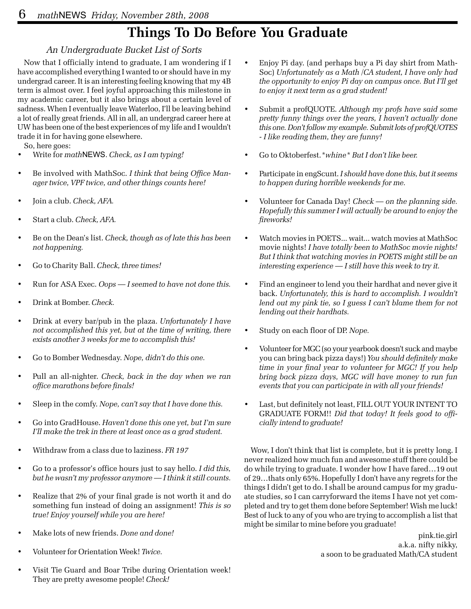# **Things To Do Before You Graduate**

### *An Undergraduate Bucket List of Sorts*

Now that I officially intend to graduate, I am wondering if I have accomplished everything I wanted to or should have in my undergrad career. It is an interesting feeling knowing that my 4B term is almost over. I feel joyful approaching this milestone in my academic career, but it also brings about a certain level of sadness. When I eventually leave Waterloo, I'll be leaving behind a lot of really great friends. All in all, an undergrad career here at UW has been one of the best experiences of my life and I wouldn't trade it in for having gone elsewhere.

So, here goes:

- Write for *math*NEWS. *Check, as I am typing!*
- Be involved with MathSoc. *I think that being Office Manager twice, VPF twice, and other things counts here!*
- Join a club. *Check, AFA.*
- Start a club. *Check, AFA.*
- Be on the Dean's list. *Check, though as of late this has been not happening.*
- Go to Charity Ball. *Check, three times!*
- Run for ASA Exec. *Oops I seemed to have not done this.*
- Drink at Bomber. *Check.*
- Drink at every bar/pub in the plaza. *Unfortunately I have not accomplished this yet, but at the time of writing, there exists another 3 weeks for me to accomplish this!*
- Go to Bomber Wednesday. *Nope, didn't do this one.*
- Pull an all-nighter. *Check, back in the day when we ran office marathons before finals!*
- Sleep in the comfy. *Nope, can't say that I have done this.*
- Go into GradHouse. *Haven't done this one yet, but I'm sure I'll make the trek in there at least once as a grad student.*
- Withdraw from a class due to laziness. *FR 197*
- Go to a professor's office hours just to say hello. *I did this, but he wasn't my professor anymore — I think it still counts.*
- Realize that 2% of your final grade is not worth it and do something fun instead of doing an assignment! *This is so true! Enjoy yourself while you are here!*
- Make lots of new friends. *Done and done!*
- Volunteer for Orientation Week! *Twice.*
- Visit Tie Guard and Boar Tribe during Orientation week! They are pretty awesome people! *Check!*
- Enjoy Pi day. (and perhaps buy a Pi day shirt from Math-Soc) *Unfortunately as a Math /CA student, I have only had the opportunity to enjoy Pi day on campus once. But I'll get to enjoy it next term as a grad student!*
- Submit a profQUOTE. *Although my profs have said some pretty funny things over the years, I haven't actually done this one. Don't follow my example. Submit lots of profQUOTES - I like reading them, they are funny!*
- Go to Oktoberfest.*\*whine\* But I don't like beer.*
- Participate in engScunt. *I should have done this, but it seems to happen during horrible weekends for me.*
- Volunteer for Canada Day! *Check on the planning side. Hopefully this summer I will actually be around to enjoy the fireworks!*
- Watch movies in POETS... wait... watch movies at MathSoc movie nights! *I have totally been to MathSoc movie nights! But I think that watching movies in POETS might still be an interesting experience — I still have this week to try it.*
- Find an engineer to lend you their hardhat and never give it back. *Unfortunately, this is hard to accomplish. I wouldn't lend out my pink tie, so I guess I can't blame them for not lending out their hardhats.*
- Study on each floor of DP. *Nope.*
- Volunteer for MGC (so your yearbook doesn't suck and maybe you can bring back pizza days!) *You should definitely make time in your final year to volunteer for MGC! If you help bring back pizza days, MGC will have money to run fun events that you can participate in with all your friends!*
- Last, but definitely not least, FILL OUT YOUR INTENT TO GRADUATE FORM!! *Did that today! It feels good to officially intend to graduate!*

Wow, I don't think that list is complete, but it is pretty long. I never realized how much fun and awesome stuff there could be do while trying to graduate. I wonder how I have fared…19 out of 29…thats only 65%. Hopefully I don't have any regrets for the things I didn't get to do. I shall be around campus for my graduate studies, so I can carryforward the items I have not yet completed and try to get them done before September! Wish me luck! Best of luck to any of you who are trying to accomplish a list that might be similar to mine before you graduate!

pink.tie.girl a.k.a. nifty nikky, a soon to be graduated Math/CA student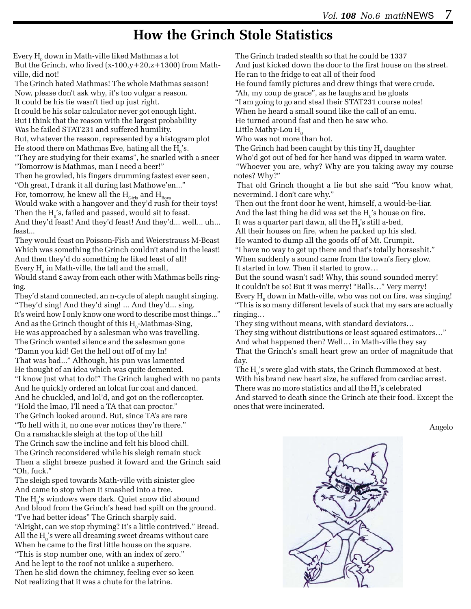## **How the Grinch Stole Statistics**

Every  $\mathrm{H}_{_{0}}$  down in Math-ville liked Mathmas a lot

But the Grinch, who lived  $(x-100, y+20, z+1300)$  from Mathville, did not!

 The Grinch hated Mathmas! The whole Mathmas season! Now, please don't ask why, it's too vulgar a reason. It could be his tie wasn't tied up just right.

It could be his solar calculator never got enough light.

But I think that the reason with the largest probability

Was he failed STAT231 and suffered humility.

 But, whatever the reason, represented by a histogram plot He stood there on Mathmas Eve, hating all the  $\mathrm{H_{o}}^{\cdot}\mathrm{s}.$ "They are studying for their exams", he snarled with a sneer

"Tomorrow is Mathmas, man I need a beer!"

 Then he growled, his fingers drumming fastest ever seen, "Oh great, I drank it all during last Mathowe'en..."

For, tomorrow, he knew all the  $H_{\text{Girls}}$  and  $H_{\text{Bovs}}$ 

Would wake with a hangover and they'd rush for their toys! Then the  $H_0$ 's, failed and passed, would sit to feast.

 And they'd feast! And they'd feast! And they'd... well... uh... feast...

 They would feast on Poisson-Fish and Weierstrauss M-Beast Which was something the Grinch couldn't stand in the least! And then they'd do something he liked least of all! Every  $H_0$  in Math-ville, the tall and the small,

 Would stand ε away from each other with Mathmas bells ringing.

 They'd stand connected, an n-cycle of aleph naught singing. "They'd sing! And they'd sing! ... And they'd... sing. It's weird how I only know one word to describe most things..." And as the Grinch thought of this  $H_0$ -Mathmas-Sing, He was approached by a salesman who was travelling. The Grinch wanted silence and the salesman gone "Damn you kid! Get the hell out off of my ln! That was bad..." Although, his pun was lamented He thought of an idea which was quite demented. "I know just what to do!" The Grinch laughed with no pants And he quickly ordered an lolcat fur coat and danced. And he chuckled, and lol'd, and got on the roflercopter. "Hold the lmao, I'll need a TA that can proctor." The Grinch looked around. But, since TA's are rare "To hell with it, no one ever notices they're there." On a ramshackle sleigh at the top of the hill The Grinch saw the incline and felt his blood chill. The Grinch reconsidered while his sleigh remain stuck Then a slight breeze pushed it foward and the Grinch said "Oh, fuck."

 The sleigh sped towards Math-ville with sinister glee And came to stop when it smashed into a tree. The  $H_0$ 's windows were dark. Quiet snow did abound And blood from the Grinch's head had spilt on the ground. "I've had better ideas" The Grinch sharply said. "Alright, can we stop rhyming? It's a little contrived." Bread. All the  $\mathrm{H_0}$ 's were all dreaming sweet dreams without care When he came to the first little house on the square. "This is stop number one, with an index of zero." And he lept to the roof not unlike a superhero. Then he slid down the chimney, feeling ever so keen Not realizing that it was a chute for the latrine.

The Grinch traded stealth so that he could be 1337

And just kicked down the door to the first house on the street.

He ran to the fridge to eat all of their food

He found family pictures and drew things that were crude.

"Ah, my coup de grace", as he laughs and he gloats

"I am going to go and steal their STAT231 course notes!

When he heard a small sound like the call of an emu.

He turned around fast and then he saw who.

Little Mathy-Lou  $H<sub>0</sub>$ 

Who was not more than hot.

The Grinch had been caught by this tiny  $H_0^{\text{}}$  daughter Who'd got out of bed for her hand was dipped in warm water. "Whoever you are, why? Why are you taking away my course notes? Why?"

 That old Grinch thought a lie but she said "You know what, nevermind. I don't care why."

 Then out the front door he went, himself, a would-be-liar. And the last thing he did was set the  $H_0$ 's house on fire.

It was a quarter part dawn, all the  $H_0$ 's still a-bed,

 All their houses on fire, when he packed up his sled. He wanted to dump all the goods off of Mt. Crumpit.

 "I have no way to get up there and that's totally horseshit." When suddenly a sound came from the town's fiery glow. It started in low. Then it started to grow…

 But the sound wasn't sad! Why, this sound sounded merry! It couldn't be so! But it was merry! "Balls…" Very merry! Every  $\mathrm{H}_{_{0}}$  down in Math-ville, who was not on fire, was singing! "This is so many different levels of suck that my ears are actually ringing…

They sing without means, with standard deviators…

 They sing without distributions or least squared estimators…" And what happened then? Well… in Math-ville they say That the Grinch's small heart grew an order of magnitude that day.

The  $\mathrm{H_{o}}$ 's were glad with stats, the Grinch flummoxed at best. With his brand new heart size, he suffered from cardiac arrest. There was no more statistics and all the  $\mathrm{H_{o}}$ 's celebrated And starved to death since the Grinch ate their food. Except the ones that were incinerated.

Angelo

![](_page_6_Picture_39.jpeg)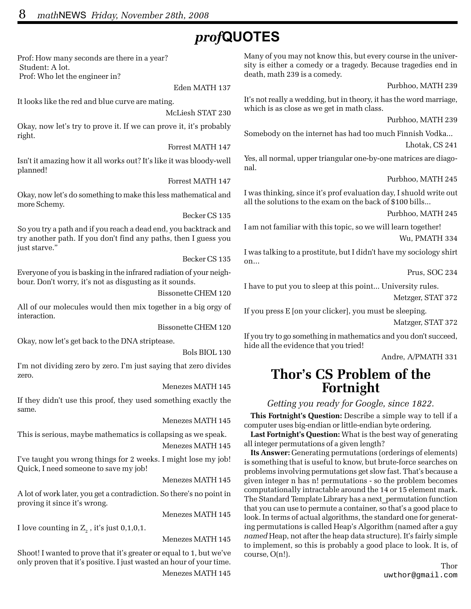# *prof***QUOTES**

Prof: How many seconds are there in a year? Student: A lot. Prof: Who let the engineer in?

Eden MATH 137

It looks like the red and blue curve are mating.

McLiesh STAT 230

Okay, now let's try to prove it. If we can prove it, it's probably right.

Forrest MATH 147

Isn't it amazing how it all works out? It's like it was bloody-well planned!

Forrest MATH 147

Okay, now let's do something to make this less mathematical and more Schemy.

Becker CS 135

So you try a path and if you reach a dead end, you backtrack and try another path. If you don't find any paths, then I guess you just starve."

Becker CS 135

Everyone of you is basking in the infrared radiation of your neighbour. Don't worry, it's not as disgusting as it sounds.

Bissonette CHEM 120

All of our molecules would then mix together in a big orgy of interaction.

Bissonette CHEM 120

Okay, now let's get back to the DNA striptease.

Bols BIOL 130

I'm not dividing zero by zero. I'm just saying that zero divides zero.

Menezes MATH 145

If they didn't use this proof, they used something exactly the same.

Menezes MATH 145

This is serious, maybe mathematics is collapsing as we speak. Menezes MATH 145

I've taught you wrong things for 2 weeks. I might lose my job! Quick, I need someone to save my job!

Menezes MATH 145

A lot of work later, you get a contradiction. So there's no point in proving it since it's wrong.

Menezes MATH 145

I love counting in  $Z_2$  , it's just 0,1,0,1.

Menezes MATH 145

Shoot! I wanted to prove that it's greater or equal to 1, but we've only proven that it's positive. I just wasted an hour of your time. Menezes MATH 145

Many of you may not know this, but every course in the university is either a comedy or a tragedy. Because tragedies end in death, math 239 is a comedy.

Purbhoo, MATH 239

It's not really a wedding, but in theory, it has the word marriage, which is as close as we get in math class.

Purbhoo, MATH 239

Somebody on the internet has had too much Finnish Vodka...

Lhotak, CS 241

Yes, all normal, upper triangular one-by-one matrices are diagonal.

Purbhoo, MATH 245

I was thinking, since it's prof evaluation day, I shuold write out all the solutions to the exam on the back of \$100 bills...

Purbhoo, MATH 245

I am not familiar with this topic, so we will learn together! Wu, PMATH 334

I was talking to a prostitute, but I didn't have my sociology shirt on...

Prus, SOC 234

I have to put you to sleep at this point... University rules.

Metzger, STAT 372

If you press E [on your clicker], you must be sleeping.

Matzger, STAT 372

If you try to go something in mathematics and you don't succeed, hide all the evidence that you tried!

Andre, A/PMATH 331

### **Thor's CS Problem of the Fortnight**

*Getting you ready for Google, since 1822.*

**This Fortnight's Question:** Describe a simple way to tell if a computer uses big-endian or little-endian byte ordering.

**Last Fortnight's Question:** What is the best way of generating all integer permutations of a given length?

**Its Answer:** Generating permutations (orderings of elements) is something that is useful to know, but brute-force searches on problems involving permutations get slow fast. That's because a given integer n has n! permutations - so the problem becomes computationally intractable around the 14 or 15 element mark. The Standard Template Library has a next\_permutation function that you can use to permute a container, so that's a good place to look. In terms of actual algorithms, the standard one for generating permutations is called Heap's Algorithm (named after a guy *named* Heap, not after the heap data structure). It's fairly simple to implement, so this is probably a good place to look. It is, of course, O(n!).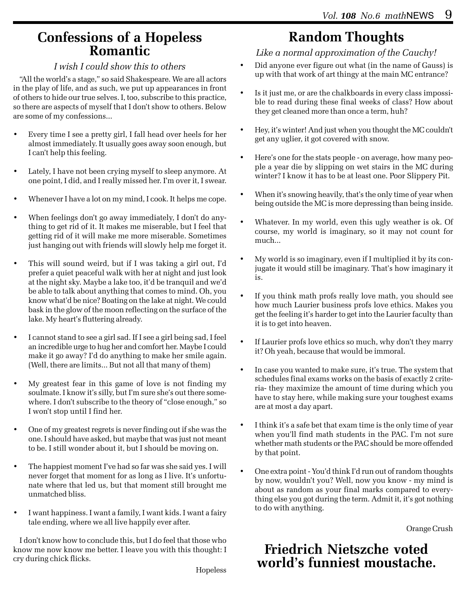### **Confessions of a Hopeless Romantic**

#### *I wish I could show this to others*

"All the world's a stage," so said Shakespeare. We are all actors in the play of life, and as such, we put up appearances in front of others to hide our true selves. I, too, subscribe to this practice, so there are aspects of myself that I don't show to others. Below are some of my confessions...

- Every time I see a pretty girl, I fall head over heels for her almost immediately. It usually goes away soon enough, but I can't help this feeling.
- Lately, I have not been crying myself to sleep anymore. At one point, I did, and I really missed her. I'm over it, I swear.
- Whenever I have a lot on my mind, I cook. It helps me cope.
- When feelings don't go away immediately, I don't do anything to get rid of it. It makes me miserable, but I feel that getting rid of it will make me more miserable. Sometimes just hanging out with friends will slowly help me forget it.
- This will sound weird, but if I was taking a girl out, I'd prefer a quiet peaceful walk with her at night and just look at the night sky. Maybe a lake too, it'd be tranquil and we'd be able to talk about anything that comes to mind. Oh, you know what'd be nice? Boating on the lake at night. We could bask in the glow of the moon reflecting on the surface of the lake. My heart's fluttering already.
- I cannot stand to see a girl sad. If I see a girl being sad, I feel an incredible urge to hug her and comfort her. Maybe I could make it go away? I'd do anything to make her smile again. (Well, there are limits... But not all that many of them)
- My greatest fear in this game of love is not finding my soulmate. I know it's silly, but I'm sure she's out there somewhere. I don't subscribe to the theory of "close enough," so I won't stop until I find her.
- One of my greatest regrets is never finding out if she was the one. I should have asked, but maybe that was just not meant to be. I still wonder about it, but I should be moving on.
- The happiest moment I've had so far was she said yes. I will never forget that moment for as long as I live. It's unfortunate where that led us, but that moment still brought me unmatched bliss.
- I want happiness. I want a family, I want kids. I want a fairy tale ending, where we all live happily ever after.

I don't know how to conclude this, but I do feel that those who know me now know me better. I leave you with this thought: I cry during chick flicks.

Hopeless

# **Random Thoughts**

*Like a normal approximation of the Cauchy!*

- Did anyone ever figure out what (in the name of Gauss) is up with that work of art thingy at the main MC entrance?
- Is it just me, or are the chalkboards in every class impossible to read during these final weeks of class? How about they get cleaned more than once a term, huh?
- Hey, it's winter! And just when you thought the MC couldn't get any uglier, it got covered with snow.
- Here's one for the stats people on average, how many people a year die by slipping on wet stairs in the MC during winter? I know it has to be at least one. Poor Slippery Pit.
- When it's snowing heavily, that's the only time of year when being outside the MC is more depressing than being inside.
- Whatever. In my world, even this ugly weather is ok. Of course, my world is imaginary, so it may not count for much...
- My world is so imaginary, even if I multiplied it by its conjugate it would still be imaginary. That's how imaginary it is.
- If you think math profs really love math, you should see how much Laurier business profs love ethics. Makes you get the feeling it's harder to get into the Laurier faculty than it is to get into heaven.
- If Laurier profs love ethics so much, why don't they marry it? Oh yeah, because that would be immoral.
- In case you wanted to make sure, it's true. The system that schedules final exams works on the basis of exactly 2 criteria- they maximize the amount of time during which you have to stay here, while making sure your toughest exams are at most a day apart.
- I think it's a safe bet that exam time is the only time of year when you'll find math students in the PAC. I'm not sure whether math students or the PAC should be more offended by that point.
- One extra point You'd think I'd run out of random thoughts by now, wouldn't you? Well, now you know - my mind is about as random as your final marks compared to everything else you got during the term. Admit it, it's got nothing to do with anything.

Orange Crush

### **Friedrich Nietszche voted world's funniest moustache.**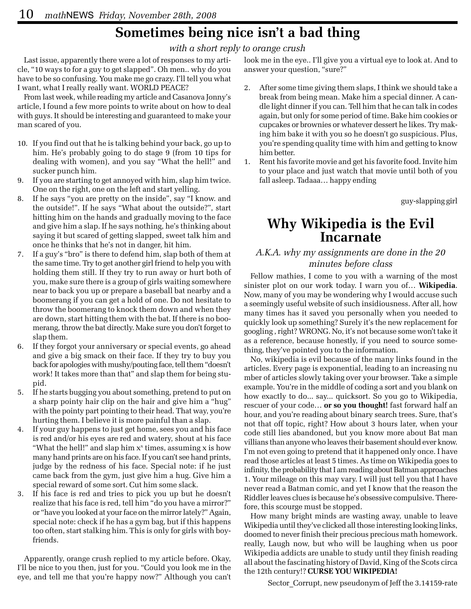# **Sometimes being nice isn't a bad thing**

#### *with a short reply to orange crush*

Last issue, apparently there were a lot of responses to my article, "10 ways to for a guy to get slapped". Oh men.. why do you have to be so confusing. You make me go crazy. I'll tell you what I want, what I really really want. WORLD PEACE?

From last week, while reading my article and Casanova Jonny's article, I found a few more points to write about on how to deal with guys. It should be interesting and guaranteed to make your man scared of you.

- 10. If you find out that he is talking behind your back, go up to him. He's probably going to do stage 9 (from 10 tips for dealing with women), and you say "What the hell!" and sucker punch him.
- 9. If you are starting to get annoyed with him, slap him twice. One on the right, one on the left and start yelling.
- If he says "you are pretty on the inside", say "I know. and the outside!". If he says "What about the outside?", start hitting him on the hands and gradually moving to the face and give him a slap. If he says nothing, he's thinking about saying it but scared of getting slapped, sweet talk him and once he thinks that he's not in danger, hit him.
- 7. If a guy's "bro" is there to defend him, slap both of them at the same time. Try to get another girl friend to help you with holding them still. If they try to run away or hurt both of you, make sure there is a group of girls waiting somewhere near to back you up or prepare a baseball bat nearby and a boomerang if you can get a hold of one. Do not hesitate to throw the boomerang to knock them down and when they are down, start hitting them with the bat. If there is no boomerang, throw the bat directly. Make sure you don't forget to slap them.
- 6. If they forgot your anniversary or special events, go ahead and give a big smack on their face. If they try to buy you back for apologies with mushy/pouting face, tell them "doesn't work! It takes more than that" and slap them for being stupid.
- 5. If he starts bugging you about something, pretend to put on a sharp pointy hair clip on the hair and give him a "hug" with the pointy part pointing to their head. That way, you're hurting them. I believe it is more painful than a slap.
- 4. If your guy happens to just get home, sees you and his face is red and/or his eyes are red and watery, shout at his face "What the hell!" and slap him  $x^x$  times, assuming  $x$  is how many hand prints are on his face. If you can't see hand prints, judge by the redness of his face. Special note: if he just came back from the gym, just give him a hug. Give him a special reward of some sort. Cut him some slack.
- 3. If his face is red and tries to pick you up but he doesn't realize that his face is red, tell him "do you have a mirror?" or "have you looked at your face on the mirror lately?" Again, special note: check if he has a gym bag, but if this happens too often, start stalking him. This is only for girls with boyfriends.

Apparently, orange crush replied to my article before. Okay, I'll be nice to you then, just for you. "Could you look me in the eye, and tell me that you're happy now?" Although you can't look me in the eye.. I'll give you a virtual eye to look at. And to answer your question, "sure?"

- 2. After some time giving them slaps, I think we should take a break from being mean. Make him a special dinner. A candle light dinner if you can. Tell him that he can talk in codes again, but only for some period of time. Bake him cookies or cupcakes or brownies or whatever dessert he likes. Try making him bake it with you so he doesn't go suspicious. Plus, you're spending quality time with him and getting to know him better.
- 1. Rent his favorite movie and get his favorite food. Invite him to your place and just watch that movie until both of you fall asleep. Tadaaa… happy ending

guy-slapping girl

### **Why Wikipedia is the Evil Incarnate**

#### *A.K.A. why my assignments are done in the 20 minutes before class*

Fellow mathies, I come to you with a warning of the most sinister plot on our work today. I warn you of… **Wikipedia**. Now, many of you may be wondering why I would accuse such a seemingly useful website of such insidiousness. After all, how many times has it saved you personally when you needed to quickly look up something? Surely it's the new replacement for googling , right? WRONG. No, it's not because some won't take it as a reference, because honestly, if you need to source something, they've pointed you to the information.

No, wikipedia is evil because of the many links found in the articles. Every page is exponential, leading to an increasing nu mber of articles slowly taking over your browser. Take a simple example. You're in the middle of coding a sort and you blank on how exactly to do... say... quicksort. So you go to Wikipedia, rescuer of your code… **or so you thought!** fast forward half an hour, and you're reading about binary search trees. Sure, that's not that off topic, right? How about 3 hours later, when your code still lies abandoned, but you know more about Bat man villians than anyone who leaves their basement should ever know. I'm not even going to pretend that it happened only once. I have read those articles at least 5 times. As time on Wikipedia goes to infinity, the probability that I am reading about Batman approaches 1. Your mileage on this may vary. I will just tell you that I have never read a Batman comic, and yet I know that the reason the Riddler leaves clues is because he's obsessive compulsive. Therefore, this scourge must be stopped.

How many bright minds are wasting away, unable to leave Wikipedia until they've clicked all those interesting looking links, doomed to never finish their precious precious math homework. really, Laugh now, but who will be laughing when us poor Wikipedia addicts are unable to study until they finish reading all about the fascinating history of David, King of the Scots circa the 12th century!? **CURSE YOU WIKIPEDIA!**

Sector Corrupt, new pseudonym of Jeff the 3.14159-rate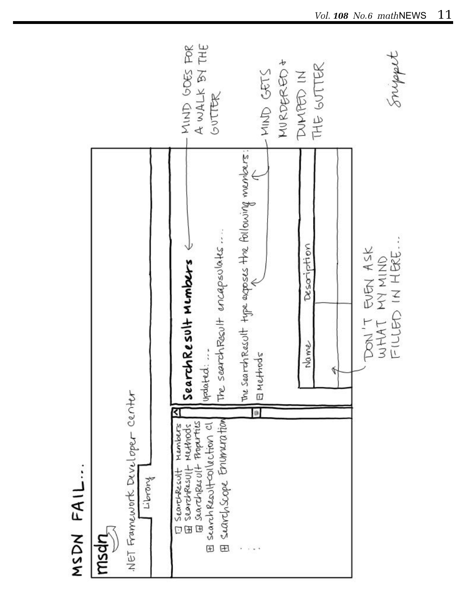![](_page_10_Figure_0.jpeg)

MSDN FAIL...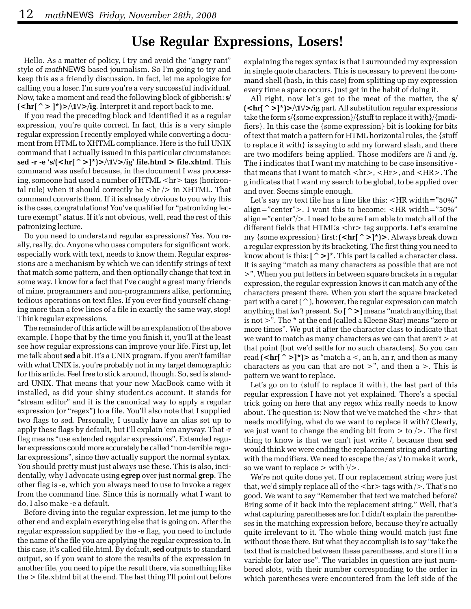### **Use Regular Expressions, Losers!**

Hello. As a matter of policy, I try and avoid the "angry rant" style of *math*NEWS based journalism. So I'm going to try and keep this as a friendly discussion. In fact, let me apologize for calling you a loser. I'm sure you're a very successful individual. Now, take a moment and read the following block of gibberish: **s/**  $(\langle \text{hr}[\uparrow \rangle]^{*})$ > $\wedge$ 1 $\vee$ >/ig. Interpret it and report back to me.

If you read the preceding block and identified it as a regular expression, you're quite correct. In fact, this is a very simple regular expression I recently employed while converting a document from HTML to XHTML compliance. Here is the full UNIX command that I actually issued in this particular circumstance: **sed -r -e 's/(<hr[^>]\*)>/\1\/>/ig' file.html > file.xhtml**. This command was useful because, in the document I was processing, someone had used a number of HTML <hr> tags (horizontal rule) when it should correctly be  $\langle \text{hr} \rangle$  in XHTML. That command converts them. If it is already obvious to you why this is the case, congratulations! You've qualified for "patronizing lecture exempt" status. If it's not obvious, well, read the rest of this patronizing lecture.

Do you need to understand regular expressions? Yes. You really, really, do. Anyone who uses computers for significant work, especially work with text, needs to know them. Regular expressions are a mechanism by which we can identify strings of text that match some pattern, and then optionally change that text in some way. I know for a fact that I've caught a great many friends of mine, programmers and non-programmers alike, performing tedious operations on text files. If you ever find yourself changing more than a few lines of a file in exactly the same way, stop! Think regular expressions.

The remainder of this article will be an explanation of the above example. I hope that by the time you finish it, you'll at the least see how regular expressions can improve your life. First up, let me talk about **sed** a bit. It's a UNIX program. If you aren't familiar with what UNIX is, you're probably not in my target demographic for this article. Feel free to stick around, though. So, sed is standard UNIX. That means that your new MacBook came with it installed, as did your shiny student.cs account. It stands for "stream editor" and it is the canonical way to apply a regular expression (or "regex") to a file. You'll also note that I supplied two flags to sed. Personally, I usually have an alias set up to apply these flags by default, but I'll explain 'em anyway. That -r flag means "use extended regular expressions". Extended regular expressions could more accurately be called "non-terrible regular expressions", since they actually support the normal syntax. You should pretty must just always use these. This is also, incidentally, why I advocate using **egrep** over just normal **grep**. The other flag is -e, which you always need to use to invoke a regex from the command line. Since this is normally what I want to do, I also make -e a default.

Before diving into the regular expression, let me jump to the other end and explain everything else that is going on. After the regular expression supplied by the -e flag, you need to include the name of the file you are applying the regular expression to. In this case, it's called file.html. By default, **sed** outputs to standard output, so if you want to store the results of the expression in another file, you need to pipe the result there, via something like the > file.xhtml bit at the end. The last thing I'll point out before

explaining the regex syntax is that I surrounded my expression in single quote characters. This is necessary to prevent the command shell (bash, in this case) from splitting up my expression every time a space occurs. Just get in the habit of doing it.

All right, now let's get to the meat of the matter, the **s/**  $(\mathsf{chr} \uparrow \mathsf{P}^*)$ >/\1\/>/ig part. All substitution regular expressions take the form s/{some expression}/{stuff to replace it with}/{modifiers}. In this case the {some expression} bit is looking for bits of text that match a pattern for HTML horizontal rules, the {stuff to replace it with} is saying to add my forward slash, and there are two modifers being applied. Those modifers are /i and /g. The i indicates that I want my matching to be case **i**nsensitive that means that I want to match <hr>, <Hr>, and <HR>. The g indicates that I want my search to be **g**lobal, to be applied over and over. Seems simple enough.

Let's say my text file has a line like this: <HR width="50%" align="center">. I want this to become: <HR width="50%" align="center"/>. I need to be sure I am able to match all of the different fields that HTML's <hr> tag supports. Let's examine my {some expression} first: **(<hr[^>]\*)>**. Always break down a regular expression by its bracketing. The first thing you need to know about is this: **[^>]\***. This part is called a character class. It is saying "match as many characters as possible that are not >". When you put letters in between square brackets in a regular expression, the regular expression knows it can match any of the characters present there. When you start the square bracketed part with a caret  $(^{\frown})$ , however, the regular expression can match anything that *isn't* present. So **[^>]** means "match anything that is not >". The \* at the end (called a Kleene Star) means "zero or more times". We put it after the character class to indicate that we want to match as many characters as we can that aren't > at that point (but we'd settle for no such characters). So you can read  $(\mathsf{chr}[\uparrow\mathsf{>}]^*)$  as "match a <, an h, an r, and then as many characters as you can that are not  $>$ ", and then a  $>$ . This is pattern we want to replace.

Let's go on to {stuff to replace it with}, the last part of this regular expression I have not yet explained. There's a special trick going on here that any regex whiz really needs to know about. The question is: Now that we've matched the  $\langle$ hr $>$  that needs modifying, what do we want to replace it with? Clearly, we just want to change the ending bit from  $>$  to  $/$ . The first thing to know is that we can't just write /, because then **sed** would think we were ending the replacement string and starting with the modifiers. We need to escape the  $/$  as  $\vee$  to make it work, so we want to replace  $>$  with  $\forall$  >.

We're not quite done yet. If our replacement string were just that, we'd simply replace all of the  $\langle h \rangle$  tags with  $\langle \rangle$ . That's no good. We want to say "Remember that text we matched before? Bring some of it back into the replacement string." Well, that's what capturing parentheses are for. I didn't explain the parentheses in the matching expression before, because they're actually quite irrelevant to it. The whole thing would match just fine without those there. But what they accomplish is to say "take the text that is matched between these parentheses, and store it in a variable for later use". The variables in question are just numbered slots, with their number corresponding to the order in which parentheses were encountered from the left side of the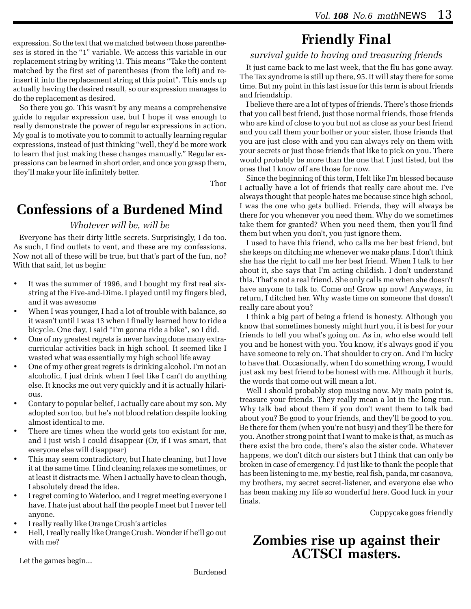expression. So the text that we matched between those parentheses is stored in the "1" variable. We access this variable in our replacement string by writing \1. This means "Take the content matched by the first set of parentheses (from the left) and reinsert it into the replacement string at this point". This ends up actually having the desired result, so our expression manages to do the replacement as desired.

So there you go. This wasn't by any means a comprehensive guide to regular expression use, but I hope it was enough to really demonstrate the power of regular expressions in action. My goal is to motivate you to commit to actually learning regular expressions, instead of just thinking "well, they'd be more work to learn that just making these changes manually." Regular expressions can be learned in short order, and once you grasp them, they'll make your life infinitely better.

Thor

## **Confessions of a Burdened Mind**

#### *Whatever will be, will be*

Everyone has their dirty little secrets. Surprisingly, I do too. As such, I find outlets to vent, and these are my confessions. Now not all of these will be true, but that's part of the fun, no? With that said, let us begin:

- It was the summer of 1996, and I bought my first real sixstring at the Five-and-Dime. I played until my fingers bled, and it was awesome
- When I was younger, I had a lot of trouble with balance, so it wasn't until I was 13 when I finally learned how to ride a bicycle. One day, I said "I'm gonna ride a bike", so I did.
- One of my greatest regrets is never having done many extracurricular activities back in high school. It seemed like I wasted what was essentially my high school life away
- One of my other great regrets is drinking alcohol. I'm not an alcoholic, I just drink when I feel like I can't do anything else. It knocks me out very quickly and it is actually hilarious.
- Contary to popular belief, I actually care about my son. My adopted son too, but he's not blood relation despite looking almost identical to me.
- There are times when the world gets too existant for me, and I just wish I could disappear (Or, if I was smart, that everyone else will disappear)
- This may seem contradictory, but I hate cleaning, but I love it at the same time. I find cleaning relaxes me sometimes, or at least it distracts me. When I actually have to clean though, I absolutely dread the idea.
- I regret coming to Waterloo, and I regret meeting everyone I have. I hate just about half the people I meet but I never tell anyone.
- I really really like Orange Crush's articles
- Hell, I really really like Orange Crush. Wonder if he'll go out with me?

### **Friendly Final** *survival guide to having and treasuring friends*

It just came back to me last week, that the flu has gone away. The Tax syndrome is still up there, 95. It will stay there for some time. But my point in this last issue for this term is about friends and friendship.

I believe there are a lot of types of friends. There's those friends that you call best friend, just those normal friends, those friends who are kind of close to you but not as close as your best friend and you call them your bother or your sister, those friends that you are just close with and you can always rely on them with your secrets or just those friends that like to pick on you. There would probably be more than the one that I just listed, but the ones that I know off are those for now.

Since the beginning of this term, I felt like I'm blessed because I actually have a lot of friends that really care about me. I've always thought that people hates me because since high school, I was the one who gets bullied. Friends, they will always be there for you whenever you need them. Why do we sometimes take them for granted? When you need them, then you'll find them but when you don't, you just ignore them.

I used to have this friend, who calls me her best friend, but she keeps on ditching me whenever we make plans. I don't think she has the right to call me her best friend. When I talk to her about it, she says that I'm acting childish. I don't understand this. That's not a real friend. She only calls me when she doesn't have anyone to talk to. Come on! Grow up now! Anyways, in return, I ditched her. Why waste time on someone that doesn't really care about you?

I think a big part of being a friend is honesty. Although you know that sometimes honesty might hurt you, it is best for your friends to tell you what's going on. As in, who else would tell you and be honest with you. You know, it's always good if you have someone to rely on. That shoulder to cry on. And I'm lucky to have that. Occasionally, when I do something wrong, I would just ask my best friend to be honest with me. Although it hurts, the words that come out will mean a lot.

Well I should probably stop musing now. My main point is, treasure your friends. They really mean a lot in the long run. Why talk bad about them if you don't want them to talk bad about you? Be good to your friends, and they'll be good to you. Be there for them (when you're not busy) and they'll be there for you. Another strong point that I want to make is that, as much as there exist the bro code, there's also the sister code. Whatever happens, we don't ditch our sisters but I think that can only be broken in case of emergency. I'd just like to thank the people that has been listening to me, my bestie, real fish, panda, mr casanova, my brothers, my secret secret-listener, and everyone else who has been making my life so wonderful here. Good luck in your finals.

Cuppycake goes friendly

### **Zombies rise up against their ACTSCI masters.**

Let the games begin...

Burdened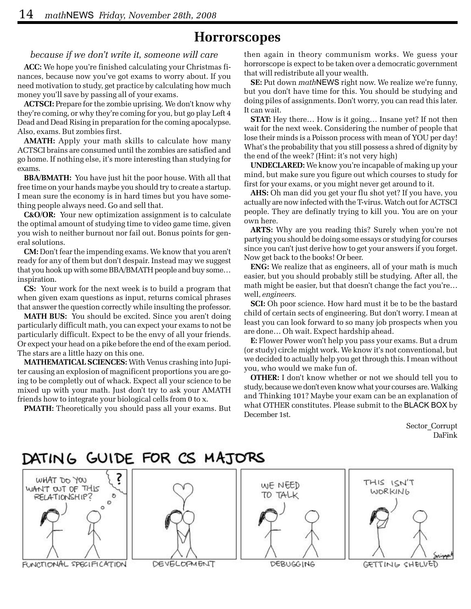### **Horrorscopes**

#### *because if we don't write it, someone will care*

**ACC:** We hope you're finished calculating your Christmas finances, because now you've got exams to worry about. If you need motivation to study, get practice by calculating how much money you'll save by passing all of your exams.

**ACTSCI:** Prepare for the zombie uprising. We don't know why they're coming, or why they're coming for you, but go play Left 4 Dead and Dead Rising in preparation for the coming apocalypse. Also, exams. But zombies first.

**AMATH:** Apply your math skills to calculate how many ACTSCI brains are consumed until the zombies are satisfied and go home. If nothing else, it's more interesting than studying for exams.

**BBA/BMATH:** You have just hit the poor house. With all that free time on your hands maybe you should try to create a startup. I mean sure the economy is in hard times but you have something people always need. Go and sell that.

**C&O/OR:** Your new optimization assignment is to calculate the optimal amount of studying time to video game time, given you wish to neither burnout nor fail out. Bonus points for general solutions.

**CM:** Don't fear the impending exams. We know that you aren't ready for any of them but don't despair. Instead may we suggest that you hook up with some BBA/BMATH people and buy some… inspiration.

**CS:** Your work for the next week is to build a program that when given exam questions as input, returns comical phrases that answer the question correctly while insulting the professor.

**MATH BUS:** You should be excited. Since you aren't doing particularly difficult math, you can expect your exams to not be particularly difficult. Expect to be the envy of all your friends. Or expect your head on a pike before the end of the exam period. The stars are a little hazy on this one.

**MATHEMATICAL SCIENCES:** With Venus crashing into Jupiter causing an explosion of magnificent proportions you are going to be completly out of whack. Expect all your science to be mixed up with your math. Just don't try to ask your AMATH friends how to integrate your biological cells from 0 to x.

**PMATH:** Theoretically you should pass all your exams. But

then again in theory communism works. We guess your horrorscope is expect to be taken over a democratic government that will redistribute all your wealth.

**SE:** Put down *math*NEWS right now. We realize we're funny, but you don't have time for this. You should be studying and doing piles of assignments. Don't worry, you can read this later. It can wait.

**STAT:** Hey there… How is it going… Insane yet? If not then wait for the next week. Considering the number of people that lose their minds is a Poisson process with mean of YOU per day! What's the probability that you still possess a shred of dignity by the end of the week? (Hint: it's not very high)

**UNDECLARED:** We know you're incapable of making up your mind, but make sure you figure out which courses to study for first for your exams, or you might never get around to it.

**AHS:** Oh man did you get your flu shot yet? If you have, you actually are now infected with the T-virus. Watch out for ACTSCI people. They are definatly trying to kill you. You are on your own here.

**ARTS:** Why are you reading this? Surely when you're not partying you should be doing some essays or studying for courses since you can't just derive how to get your answers if you forget. Now get back to the books! Or beer.

**ENG:** We realize that as engineers, all of your math is much easier, but you should probably still be studying. After all, the math might be easier, but that doesn't change the fact you're… well, *engineers.*

**SCI:** Oh poor science. How hard must it be to be the bastard child of certain sects of engineering. But don't worry. I mean at least you can look forward to so many job prospects when you are done… Oh wait. Expect hardship ahead.

**E:** Flower Power won't help you pass your exams. But a drum (or study) circle might work. We know it's not conventional, but we decided to actually help you get through this. I mean without you, who would we make fun of.

**OTHER:** I don't know whether or not we should tell you to study, because we don't even know what your courses are. Walking and Thinking 101? Maybe your exam can be an explanation of what OTHER constitutes. Please submit to the BLACK BOX by December 1st.

> Sector\_Corrupt DaFink

![](_page_13_Picture_24.jpeg)

FUNCTIONAL SPECIFICATION

DEVELOPMENT

DEBUGGING

GETTING SHELVED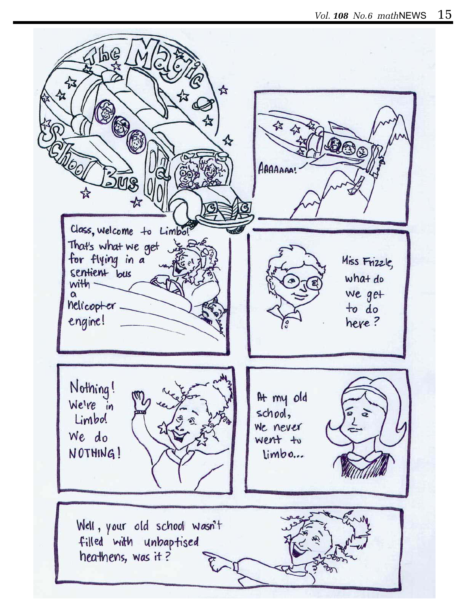![](_page_14_Picture_1.jpeg)